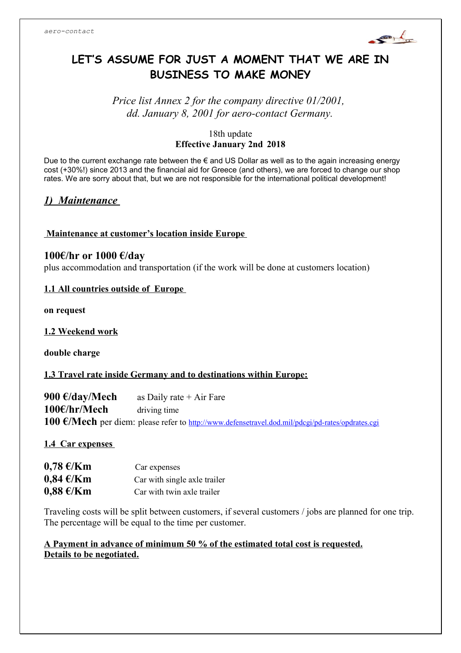

# **LET'S ASSUME FOR JUST A MOMENT THAT WE ARE IN BUSINESS TO MAKE MONEY**

*Price list Annex 2 for the company directive 01/2001, dd. January 8, 2001 for aero-contact Germany.*

#### 18th update **Effective January 2nd 2018**

Due to the current exchange rate between the € and US Dollar as well as to the again increasing energy cost (+30%!) since 2013 and the financial aid for Greece (and others), we are forced to change our shop rates. We are sorry about that, but we are not responsible for the international political development!

## *1) Maintenance*

#### **Maintenance at customer's location inside Europe**

#### **100€/hr or 1000 €/day**

plus accommodation and transportation (if the work will be done at customers location)

#### **1.1 All countries outside of Europe**

**on request**

**1.2 Weekend work**

**double charge**

#### **1.3 Travel rate inside Germany and to destinations within Europe:**

**900 €/day/Mech** as Daily rate + Air Fare **100€/hr/Mech** driving time **100 €/Mech** per diem: please refer to <http://www.defensetravel.dod.mil/pdcgi/pd-rates/opdrates.cgi>

#### **1.4 Car expenses**

| $0,78 \in$ /Km | Car expenses                 |
|----------------|------------------------------|
| $0,84 \in$ /Km | Car with single axle trailer |
| $0,88 \in$ /Km | Car with twin axle trailer   |

Traveling costs will be split between customers, if several customers / jobs are planned for one trip. The percentage will be equal to the time per customer.

#### **A Payment in advance of minimum 50 % of the estimated total cost is requested. Details to be negotiated.**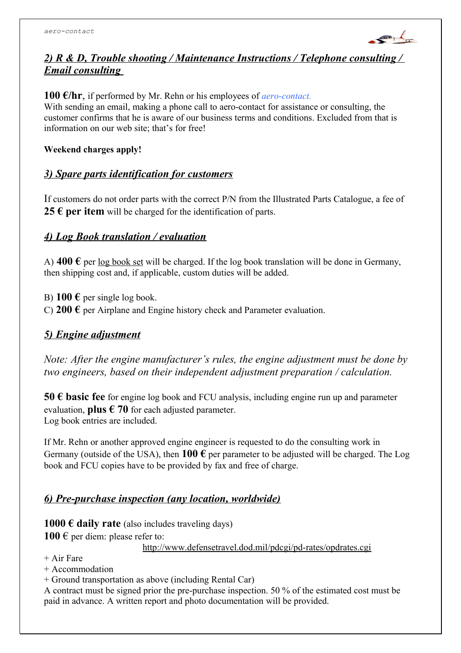

## *2) R & D, Trouble shooting / Maintenance Instructions / Telephone consulting / Email consulting*

**100 €/hr**, if performed by Mr. Rehn or his employees of *aero-contact.* With sending an email, making a phone call to aero-contact for assistance or consulting, the customer confirms that he is aware of our business terms and conditions. Excluded from that is information on our web site; that's for free!

**Weekend charges apply!**

#### *3) Spare parts identification for customers*

If customers do not order parts with the correct P/N from the Illustrated Parts Catalogue, a fee of **25 € per item** will be charged for the identification of parts.

#### *4) Log Book translation / evaluation*

A)  $400 \text{ } \epsilon$  per log book set will be charged. If the log book translation will be done in Germany, then shipping cost and, if applicable, custom duties will be added.

B)  $100 \text{ }\epsilon$  per single log book.

C) **200 €** per Airplane and Engine history check and Parameter evaluation.

## *5) Engine adjustment*

*Note: After the engine manufacturer's rules, the engine adjustment must be done by two engineers, based on their independent adjustment preparation / calculation.* 

**50 € basic fee** for engine log book and FCU analysis, including engine run up and parameter evaluation, **plus**  $\epsilon$  **70** for each adjusted parameter. Log book entries are included.

If Mr. Rehn or another approved engineer is requested to do the consulting work in Germany (outside of the USA), then **100**  $\epsilon$  per parameter to be adjusted will be charged. The Log book and FCU copies have to be provided by fax and free of charge.

## *6) Pre-purchase inspection (any location, worldwide)*

**1000 € daily rate** (also includes traveling days) **100**  $\epsilon$  per diem: please refer to:

http://www.defensetravel.dod.mil/pdcgi/pd-rates/opdrates.cgi

- + Air Fare
- + Accommodation
- + Ground transportation as above (including Rental Car)

A contract must be signed prior the pre-purchase inspection. 50 % of the estimated cost must be paid in advance. A written report and photo documentation will be provided.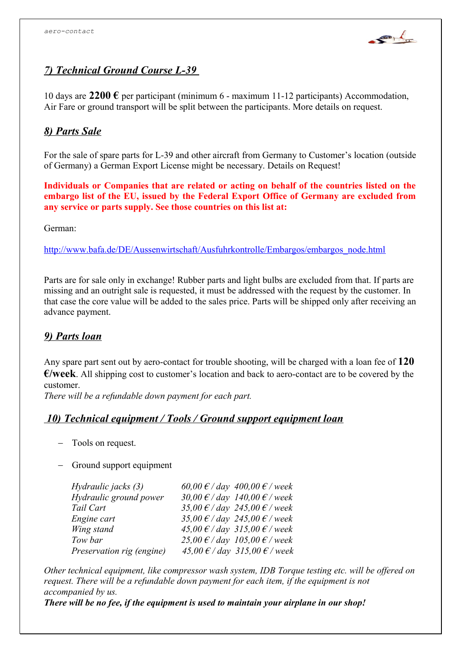

## *7) Technical Ground Course L-39*

10 days are **2200 €** per participant (minimum 6 - maximum 11-12 participants) Accommodation, Air Fare or ground transport will be split between the participants. More details on request.

## *8) Parts Sale*

For the sale of spare parts for L-39 and other aircraft from Germany to Customer's location (outside of Germany) a German Export License might be necessary. Details on Request!

**Individuals or Companies that are related or acting on behalf of the countries listed on the embargo list of the EU, issued by the Federal Export Office of Germany are excluded from any service or parts supply. See those countries on this list at:**

German:

http://www.bafa.de/DE/Aussenwirtschaft/Ausfuhrkontrolle/Embargos/embargos\_node.html

Parts are for sale only in exchange! Rubber parts and light bulbs are excluded from that. If parts are missing and an outright sale is requested, it must be addressed with the request by the customer. In that case the core value will be added to the sales price. Parts will be shipped only after receiving an advance payment.

#### *9) Parts loan*

Any spare part sent out by aero-contact for trouble shooting, will be charged with a loan fee of **120 €/week**. All shipping cost to customer's location and back to aero-contact are to be covered by the customer.

*There will be a refundable down payment for each part.*

#### *10) Technical equipment / Tools / Ground support equipment loan*

- Tools on request.
- Ground support equipment

| Hydraulic jacks (3)       | 60,00 € / day 400,00 € / week                   |
|---------------------------|-------------------------------------------------|
| Hydraulic ground power    | 30,00 $\epsilon$ / day 140,00 $\epsilon$ / week |
| Tail Cart                 | 35,00 $\epsilon$ / day 245,00 $\epsilon$ / week |
| Engine cart               | 35,00 $\epsilon$ / day 245,00 $\epsilon$ / week |
| Wing stand                | 45,00 € / day 315,00 € / week                   |
| Tow bar                   | 25,00 € / day 105,00 € / week                   |
| Preservation rig (engine) | 45,00 € / day 315,00 € / week                   |

*Other technical equipment, like compressor wash system, IDB Torque testing etc. will be offered on request. There will be a refundable down payment for each item, if the equipment is not accompanied by us.* 

*There will be no fee, if the equipment is used to maintain your airplane in our shop!*